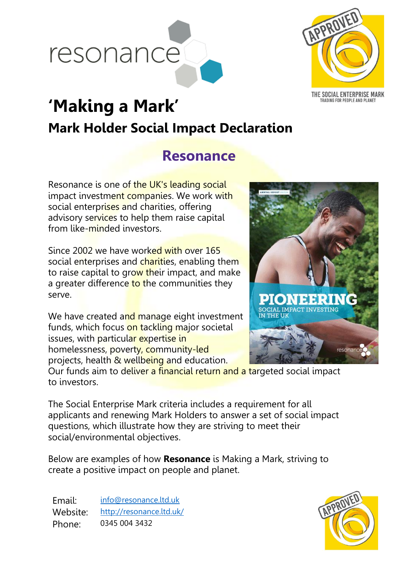



TRADING FOR PEOPLE AND PLANET

# **'Making a Mark' Mark Holder Social Impact Declaration**

## **Resonance**

Resonance is one of the UK's leading social impact investment companies. We work with social enterprises and charities, offering advisory services to help them raise capital from like-minded investors.

Since 2002 we have worked with over 165 social enterprises and charities, enabling them to raise capital to grow their impact, and make a greater difference to the communities they serve.

We have created and manage eight investment funds, which focus on tackling major societal issues, with particular expertise in homelessness, poverty, community-led projects, health & wellbeing and education.



Our funds aim to deliver a financial return and a targeted social impact to investors.

The Social Enterprise Mark criteria includes a requirement for all applicants and renewing Mark Holders to answer a set of social impact questions, which illustrate how they are striving to meet their social/environmental objectives.

Below are examples of how **Resonance** is Making a Mark, striving to create a positive impact on people and planet.

Email: [info@resonance.ltd.uk](mailto:info@resonance.ltd.uk) Website: <http://resonance.ltd.uk/> Phone: 0345 004 3432